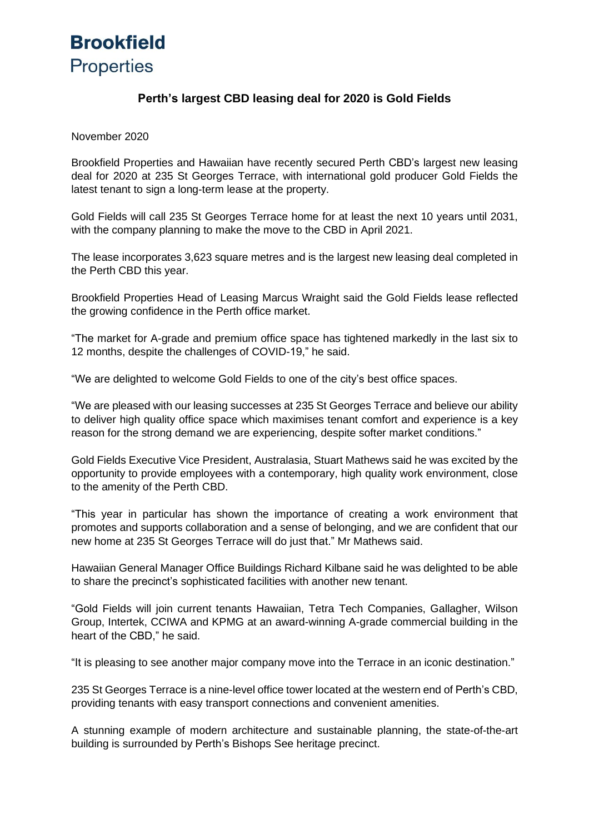## **Brookfield** Properties

### **Perth's largest CBD leasing deal for 2020 is Gold Fields**

November 2020

Brookfield Properties and Hawaiian have recently secured Perth CBD's largest new leasing deal for 2020 at 235 St Georges Terrace, with international gold producer Gold Fields the latest tenant to sign a long-term lease at the property.

Gold Fields will call 235 St Georges Terrace home for at least the next 10 years until 2031, with the company planning to make the move to the CBD in April 2021.

The lease incorporates 3,623 square metres and is the largest new leasing deal completed in the Perth CBD this year.

Brookfield Properties Head of Leasing Marcus Wraight said the Gold Fields lease reflected the growing confidence in the Perth office market.

"The market for A-grade and premium office space has tightened markedly in the last six to 12 months, despite the challenges of COVID-19," he said.

"We are delighted to welcome Gold Fields to one of the city's best office spaces.

"We are pleased with our leasing successes at 235 St Georges Terrace and believe our ability to deliver high quality office space which maximises tenant comfort and experience is a key reason for the strong demand we are experiencing, despite softer market conditions."

Gold Fields Executive Vice President, Australasia, Stuart Mathews said he was excited by the opportunity to provide employees with a contemporary, high quality work environment, close to the amenity of the Perth CBD.

"This year in particular has shown the importance of creating a work environment that promotes and supports collaboration and a sense of belonging, and we are confident that our new home at 235 St Georges Terrace will do just that." Mr Mathews said.

Hawaiian General Manager Office Buildings Richard Kilbane said he was delighted to be able to share the precinct's sophisticated facilities with another new tenant.

"Gold Fields will join current tenants Hawaiian, Tetra Tech Companies, Gallagher, Wilson Group, Intertek, CCIWA and KPMG at an award-winning A-grade commercial building in the heart of the CBD," he said.

"It is pleasing to see another major company move into the Terrace in an iconic destination."

235 St Georges Terrace is a nine-level office tower located at the western end of Perth's CBD, providing tenants with easy transport connections and convenient amenities.

A stunning example of modern architecture and sustainable planning, the state-of-the-art building is surrounded by Perth's Bishops See heritage precinct.